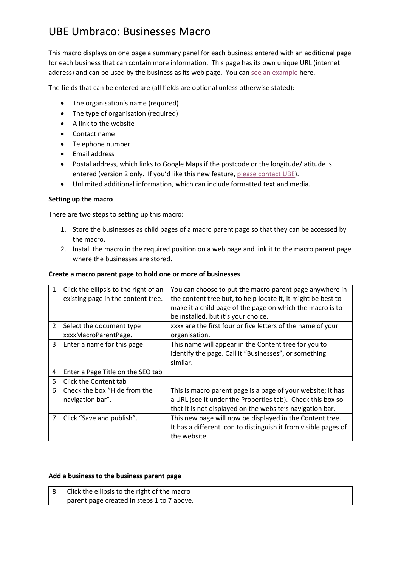# UBE Umbraco: Businesses Macro

This macro displays on one page a summary panel for each business entered with an additional page for each business that can contain more information. This page has its own unique URL (internet address) and can be used by the business as its web page. You ca[n see an example](http://eastchiltington.net/businesses-traders/) here.

The fields that can be entered are (all fields are optional unless otherwise stated):

- The organisation's name (required)
- The type of organisation (required)
- A link to the website
- Contact name
- Telephone number
- Email address
- Postal address, which links to Google Maps if the postcode or the longitude/latitude is entered (version 2 only. If you'd like this new feature, [please contact](http://upperbridge.co.uk/contact-us) UBE).
- Unlimited additional information, which can include formatted text and media.

### **Setting up the macro**

There are two steps to setting up this macro:

- 1. Store the businesses as child pages of a macro parent page so that they can be accessed by the macro.
- 2. Install the macro in the required position on a web page and link it to the macro parent page where the businesses are stored.

### **Create a macro parent page to hold one or more of businesses**

| 1              | Click the ellipsis to the right of an | You can choose to put the macro parent page anywhere in         |
|----------------|---------------------------------------|-----------------------------------------------------------------|
|                | existing page in the content tree.    | the content tree but, to help locate it, it might be best to    |
|                |                                       | make it a child page of the page on which the macro is to       |
|                |                                       | be installed, but it's your choice.                             |
| $\overline{2}$ | Select the document type              | xxxx are the first four or five letters of the name of your     |
|                | xxxxMacroParentPage.                  | organisation.                                                   |
| 3              | Enter a name for this page.           | This name will appear in the Content tree for you to            |
|                |                                       | identify the page. Call it "Businesses", or something           |
|                |                                       | similar.                                                        |
| 4              | Enter a Page Title on the SEO tab     |                                                                 |
| 5              | Click the Content tab                 |                                                                 |
| 6              | Check the box "Hide from the          | This is macro parent page is a page of your website; it has     |
|                | navigation bar".                      | a URL (see it under the Properties tab). Check this box so      |
|                |                                       | that it is not displayed on the website's navigation bar.       |
| 7              | Click "Save and publish".             | This new page will now be displayed in the Content tree.        |
|                |                                       | It has a different icon to distinguish it from visible pages of |
|                |                                       | the website.                                                    |

#### **Add a business to the business parent page**

| Click the ellipsis to the right of the macro |  |
|----------------------------------------------|--|
| parent page created in steps 1 to 7 above.   |  |